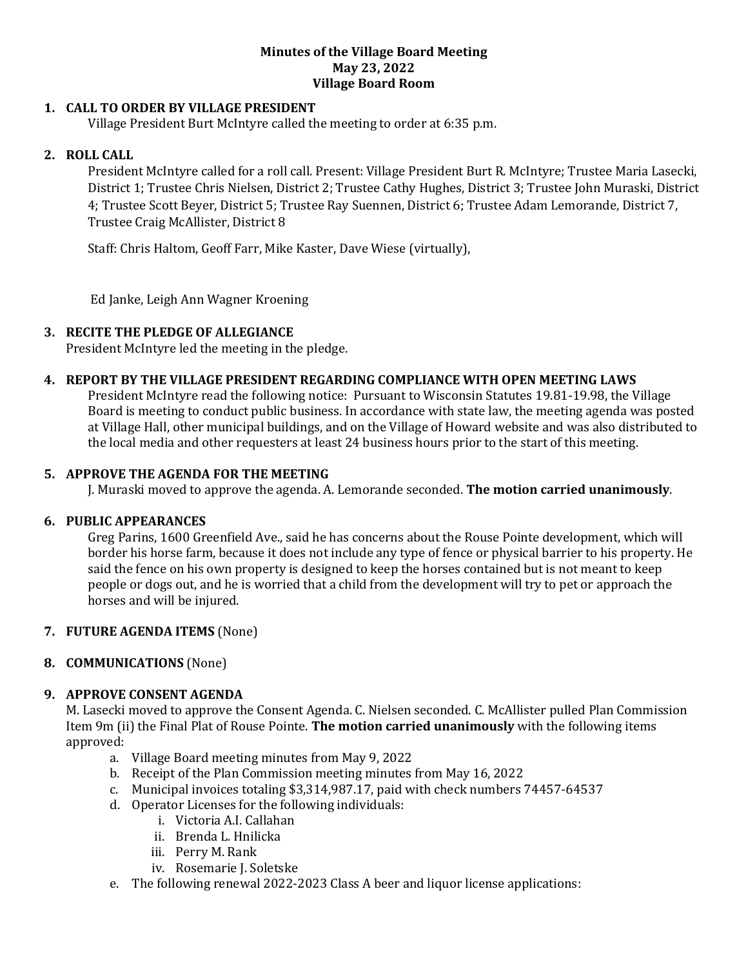#### **Minutes of the Village Board Meeting May 23, 2022 Village Board Room**

### **1. CALL TO ORDER BY VILLAGE PRESIDENT**

Village President Burt McIntyre called the meeting to order at 6:35 p.m.

### **2. ROLL CALL**

President McIntyre called for a roll call. Present: Village President Burt R. McIntyre; Trustee Maria Lasecki, District 1; Trustee Chris Nielsen, District 2; Trustee Cathy Hughes, District 3; Trustee John Muraski, District 4; Trustee Scott Beyer, District 5; Trustee Ray Suennen, District 6; Trustee Adam Lemorande, District 7, Trustee Craig McAllister, District 8

Staff: Chris Haltom, Geoff Farr, Mike Kaster, Dave Wiese (virtually),

Ed Janke, Leigh Ann Wagner Kroening

#### **3. RECITE THE PLEDGE OF ALLEGIANCE**

President McIntyre led the meeting in the pledge.

#### **4. REPORT BY THE VILLAGE PRESIDENT REGARDING COMPLIANCE WITH OPEN MEETING LAWS**

President McIntyre read the following notice: Pursuant to Wisconsin Statutes 19.81-19.98, the Village Board is meeting to conduct public business. In accordance with state law, the meeting agenda was posted at Village Hall, other municipal buildings, and on the Village of Howard website and was also distributed to the local media and other requesters at least 24 business hours prior to the start of this meeting.

#### **5. APPROVE THE AGENDA FOR THE MEETING**

J. Muraski moved to approve the agenda. A. Lemorande seconded. **The motion carried unanimously**.

#### **6. PUBLIC APPEARANCES**

Greg Parins, 1600 Greenfield Ave., said he has concerns about the Rouse Pointe development, which will border his horse farm, because it does not include any type of fence or physical barrier to his property. He said the fence on his own property is designed to keep the horses contained but is not meant to keep people or dogs out, and he is worried that a child from the development will try to pet or approach the horses and will be injured.

#### **7. FUTURE AGENDA ITEMS** (None)

### **8. COMMUNICATIONS** (None)

### **9. APPROVE CONSENT AGENDA**

M. Lasecki moved to approve the Consent Agenda. C. Nielsen seconded. C. McAllister pulled Plan Commission Item 9m (ii) the Final Plat of Rouse Pointe. **The motion carried unanimously** with the following items approved:

- a. Village Board meeting minutes from May 9, 2022
- b. Receipt of the Plan Commission meeting minutes from May 16, 2022
- c. Municipal invoices totaling \$3,314,987.17, paid with check numbers 74457-64537
- d. Operator Licenses for the following individuals:
	- i. Victoria A.I. Callahan
	- ii. Brenda L. Hnilicka
	- iii. Perry M. Rank
	- iv. Rosemarie J. Soletske
- e. The following renewal 2022-2023 Class A beer and liquor license applications: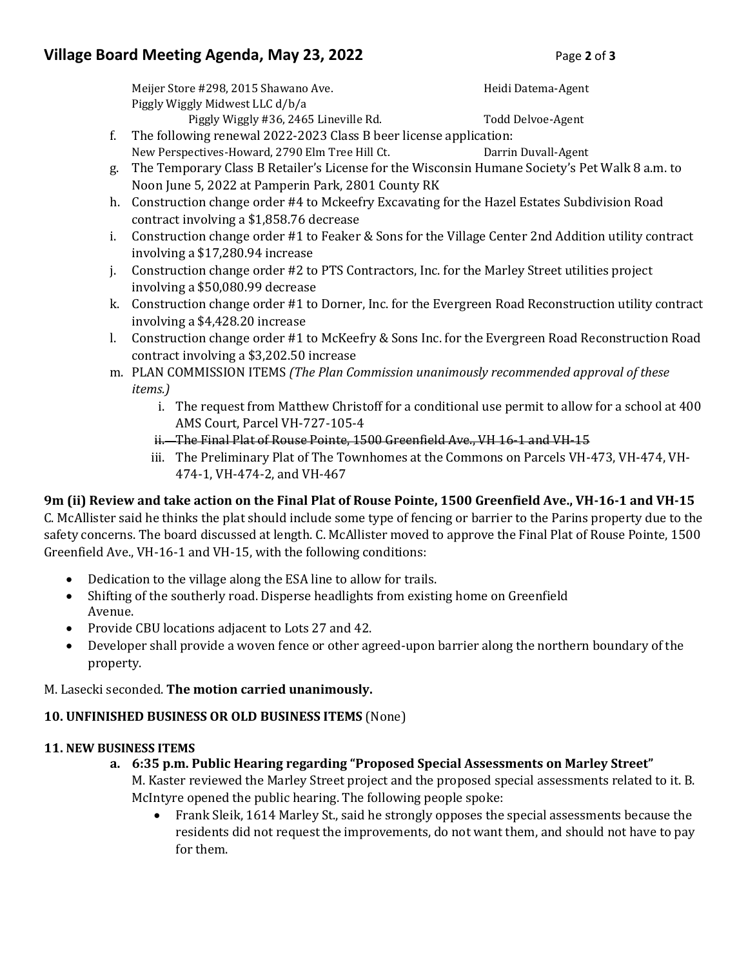# **Village Board Meeting Agenda, May 23, 2022** Page 2 of 3

Meijer Store #298, 2015 Shawano Ave. https://www.marchive.com/heidi Datema-Agent Piggly Wiggly Midwest LLC d/b/a

Piggly Wiggly #36, 2465 Lineville Rd. Todd Delvoe-Agent f. The following renewal 2022-2023 Class B beer license application:

- New Perspectives-Howard, 2790 Elm Tree Hill Ct. Darrin Duvall-Agent g. The Temporary Class B Retailer's License for the Wisconsin Humane Society's Pet Walk 8 a.m. to Noon June 5, 2022 at Pamperin Park, 2801 County RK
- h. Construction change order #4 to Mckeefry Excavating for the Hazel Estates Subdivision Road contract involving a \$1,858.76 decrease
- i. Construction change order #1 to Feaker & Sons for the Village Center 2nd Addition utility contract involving a \$17,280.94 increase
- j. Construction change order #2 to PTS Contractors, Inc. for the Marley Street utilities project involving a \$50,080.99 decrease
- k. Construction change order #1 to Dorner, Inc. for the Evergreen Road Reconstruction utility contract involving a \$4,428.20 increase
- l. Construction change order #1 to McKeefry & Sons Inc. for the Evergreen Road Reconstruction Road contract involving a \$3,202.50 increase
- m. PLAN COMMISSION ITEMS *(The Plan Commission unanimously recommended approval of these items.)*
	- i. The request from Matthew Christoff for a conditional use permit to allow for a school at 400 AMS Court, Parcel VH-727-105-4
	- ii. The Final Plat of Rouse Pointe, 1500 Greenfield Ave., VH 16-1 and VH-15
	- iii. The Preliminary Plat of The Townhomes at the Commons on Parcels VH-473, VH-474, VH-474-1, VH-474-2, and VH-467

## **9m (ii) Review and take action on the Final Plat of Rouse Pointe, 1500 Greenfield Ave., VH-16-1 and VH-15**

C. McAllister said he thinks the plat should include some type of fencing or barrier to the Parins property due to the safety concerns. The board discussed at length. C. McAllister moved to approve the Final Plat of Rouse Pointe, 1500 Greenfield Ave., VH-16-1 and VH-15, with the following conditions:

- Dedication to the village along the ESA line to allow for trails.
- Shifting of the southerly road. Disperse headlights from existing home on Greenfield Avenue.
- Provide CBU locations adjacent to Lots 27 and 42.
- Developer shall provide a woven fence or other agreed-upon barrier along the northern boundary of the property.

M. Lasecki seconded. **The motion carried unanimously.**

## **10. UNFINISHED BUSINESS OR OLD BUSINESS ITEMS** (None)

## **11. NEW BUSINESS ITEMS**

- **a. 6:35 p.m. Public Hearing regarding "Proposed Special Assessments on Marley Street"**  M. Kaster reviewed the Marley Street project and the proposed special assessments related to it. B. McIntyre opened the public hearing. The following people spoke:
	- Frank Sleik, 1614 Marley St., said he strongly opposes the special assessments because the residents did not request the improvements, do not want them, and should not have to pay for them.